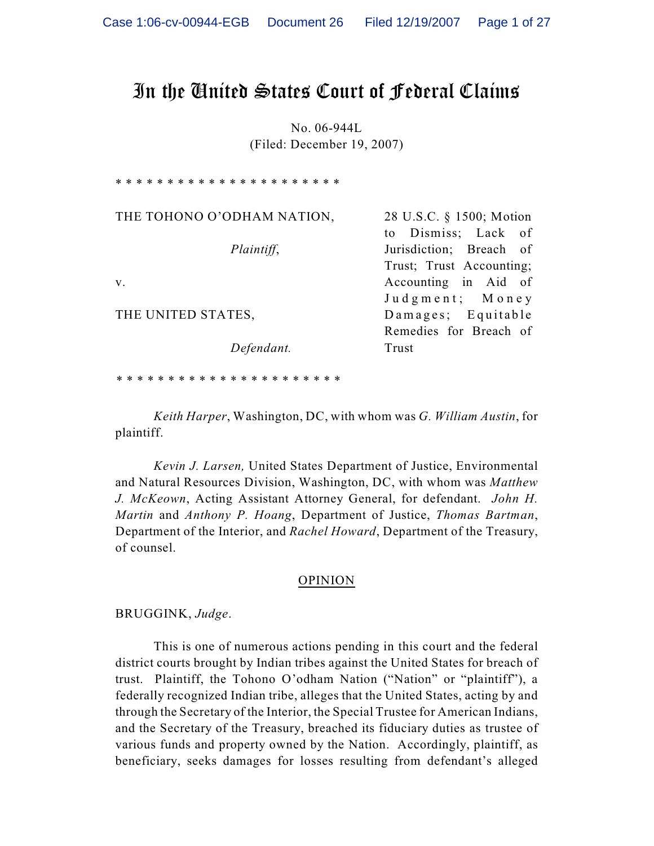# In the United States Court of Federal Claims

No. 06-944L (Filed: December 19, 2007)

\* \* \* \* \* \* \* \* \* \* \* \* \* \* \* \* \* \* \* THE TOHONO O'ODHAM NATION, *Plaintiff*, v. THE UNITED STATES, *Defendant.* 28 U.S.C. § 1500; Motion to Dismiss; Lack of Jurisdiction; Breach of Trust; Trust Accounting; Accounting in Aid of Judgment; Money Damages; Equitable Remedies for Breach of Trust

*\* \* \* \* \* \* \* \* \* \* \* \* \* \* \* \* \* \* \* \* \* \**

*Keith Harper*, Washington, DC, with whom was *G. William Austin*, for plaintiff.

*Kevin J. Larsen,* United States Department of Justice, Environmental and Natural Resources Division, Washington, DC, with whom was *Matthew J. McKeown*, Acting Assistant Attorney General, for defendant. *John H. Martin* and *Anthony P. Hoang*, Department of Justice, *Thomas Bartman*, Department of the Interior, and *Rachel Howard*, Department of the Treasury, of counsel.

### OPINION

BRUGGINK, *Judge*.

This is one of numerous actions pending in this court and the federal district courts brought by Indian tribes against the United States for breach of trust. Plaintiff, the Tohono O'odham Nation ("Nation" or "plaintiff"), a federally recognized Indian tribe, alleges that the United States, acting by and through the Secretary of the Interior, the Special Trustee for American Indians, and the Secretary of the Treasury, breached its fiduciary duties as trustee of various funds and property owned by the Nation. Accordingly, plaintiff, as beneficiary, seeks damages for losses resulting from defendant's alleged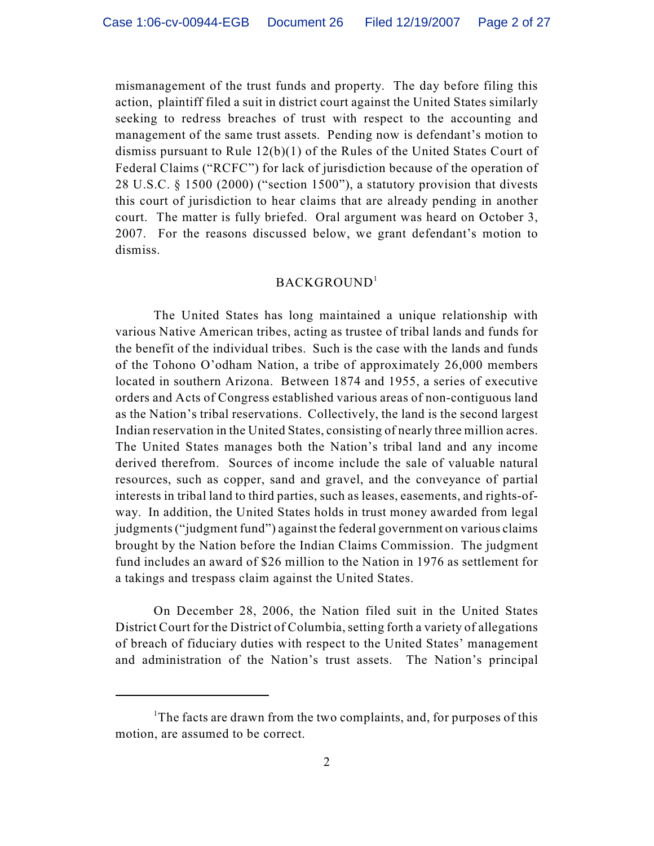mismanagement of the trust funds and property. The day before filing this action, plaintiff filed a suit in district court against the United States similarly seeking to redress breaches of trust with respect to the accounting and management of the same trust assets. Pending now is defendant's motion to dismiss pursuant to Rule 12(b)(1) of the Rules of the United States Court of Federal Claims ("RCFC") for lack of jurisdiction because of the operation of 28 U.S.C. § 1500 (2000) ("section 1500"), a statutory provision that divests this court of jurisdiction to hear claims that are already pending in another court. The matter is fully briefed. Oral argument was heard on October 3, 2007. For the reasons discussed below, we grant defendant's motion to dismiss.

## BACKGROUND<sup>1</sup>

The United States has long maintained a unique relationship with various Native American tribes, acting as trustee of tribal lands and funds for the benefit of the individual tribes. Such is the case with the lands and funds of the Tohono O'odham Nation, a tribe of approximately 26,000 members located in southern Arizona. Between 1874 and 1955, a series of executive orders and Acts of Congress established various areas of non-contiguous land as the Nation's tribal reservations. Collectively, the land is the second largest Indian reservation in the United States, consisting of nearly three million acres. The United States manages both the Nation's tribal land and any income derived therefrom. Sources of income include the sale of valuable natural resources, such as copper, sand and gravel, and the conveyance of partial interests in tribal land to third parties, such as leases, easements, and rights-ofway. In addition, the United States holds in trust money awarded from legal judgments ("judgment fund") against the federal government on various claims brought by the Nation before the Indian Claims Commission. The judgment fund includes an award of \$26 million to the Nation in 1976 as settlement for a takings and trespass claim against the United States.

On December 28, 2006, the Nation filed suit in the United States District Court for the District of Columbia, setting forth a variety of allegations of breach of fiduciary duties with respect to the United States' management and administration of the Nation's trust assets. The Nation's principal

<sup>&</sup>lt;sup>1</sup>The facts are drawn from the two complaints, and, for purposes of this motion, are assumed to be correct.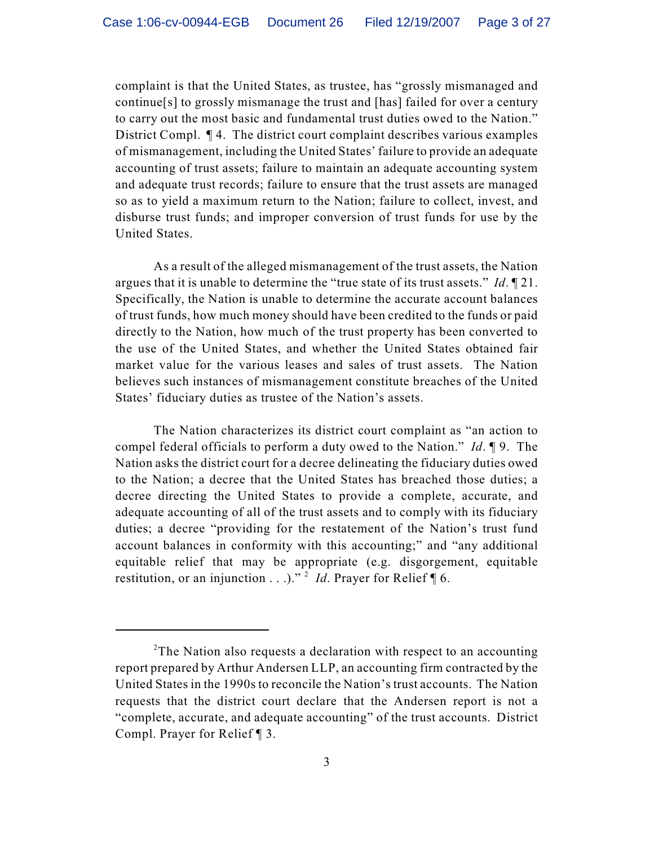complaint is that the United States, as trustee, has "grossly mismanaged and continue[s] to grossly mismanage the trust and [has] failed for over a century to carry out the most basic and fundamental trust duties owed to the Nation." District Compl. ¶ 4. The district court complaint describes various examples of mismanagement, including the United States' failure to provide an adequate accounting of trust assets; failure to maintain an adequate accounting system and adequate trust records; failure to ensure that the trust assets are managed so as to yield a maximum return to the Nation; failure to collect, invest, and disburse trust funds; and improper conversion of trust funds for use by the United States.

As a result of the alleged mismanagement of the trust assets, the Nation argues that it is unable to determine the "true state of its trust assets." *Id*. ¶ 21. Specifically, the Nation is unable to determine the accurate account balances of trust funds, how much money should have been credited to the funds or paid directly to the Nation, how much of the trust property has been converted to the use of the United States, and whether the United States obtained fair market value for the various leases and sales of trust assets. The Nation believes such instances of mismanagement constitute breaches of the United States' fiduciary duties as trustee of the Nation's assets.

The Nation characterizes its district court complaint as "an action to compel federal officials to perform a duty owed to the Nation." *Id*. ¶ 9. The Nation asks the district court for a decree delineating the fiduciary duties owed to the Nation; a decree that the United States has breached those duties; a decree directing the United States to provide a complete, accurate, and adequate accounting of all of the trust assets and to comply with its fiduciary duties; a decree "providing for the restatement of the Nation's trust fund account balances in conformity with this accounting;" and "any additional equitable relief that may be appropriate (e.g. disgorgement, equitable restitution, or an injunction . . .)."<sup>2</sup> *Id*. Prayer for Relief ¶ 6.

 $2$ The Nation also requests a declaration with respect to an accounting report prepared by Arthur Andersen LLP, an accounting firm contracted by the United States in the 1990s to reconcile the Nation's trust accounts. The Nation requests that the district court declare that the Andersen report is not a "complete, accurate, and adequate accounting" of the trust accounts. District Compl. Prayer for Relief ¶ 3.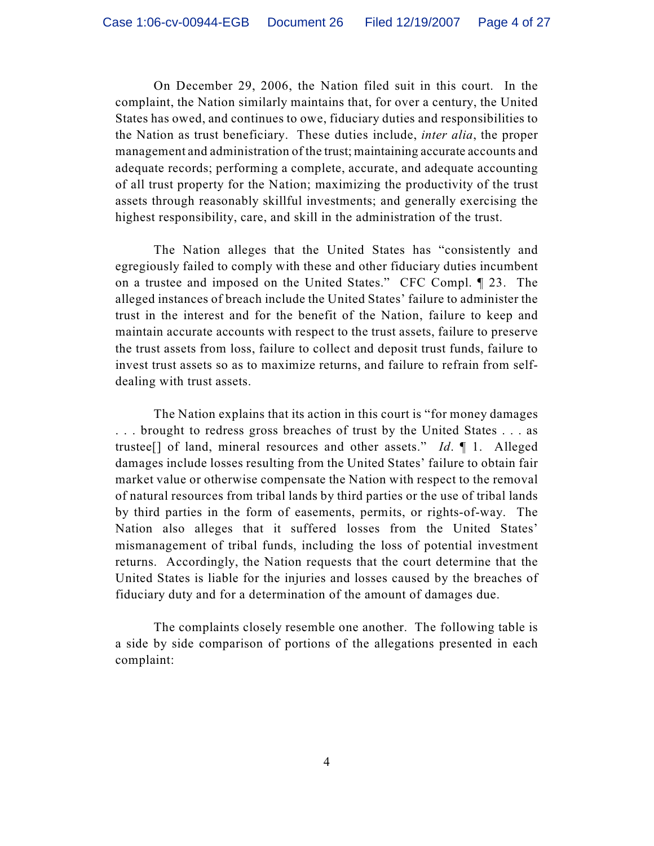On December 29, 2006, the Nation filed suit in this court. In the complaint, the Nation similarly maintains that, for over a century, the United States has owed, and continues to owe, fiduciary duties and responsibilities to the Nation as trust beneficiary. These duties include, *inter alia*, the proper management and administration of the trust; maintaining accurate accounts and adequate records; performing a complete, accurate, and adequate accounting of all trust property for the Nation; maximizing the productivity of the trust assets through reasonably skillful investments; and generally exercising the highest responsibility, care, and skill in the administration of the trust.

The Nation alleges that the United States has "consistently and egregiously failed to comply with these and other fiduciary duties incumbent on a trustee and imposed on the United States." CFC Compl. ¶ 23. The alleged instances of breach include the United States' failure to administer the trust in the interest and for the benefit of the Nation, failure to keep and maintain accurate accounts with respect to the trust assets, failure to preserve the trust assets from loss, failure to collect and deposit trust funds, failure to invest trust assets so as to maximize returns, and failure to refrain from selfdealing with trust assets.

The Nation explains that its action in this court is "for money damages . . . brought to redress gross breaches of trust by the United States . . . as trustee[] of land, mineral resources and other assets." *Id*. ¶ 1. Alleged damages include losses resulting from the United States' failure to obtain fair market value or otherwise compensate the Nation with respect to the removal of natural resources from tribal lands by third parties or the use of tribal lands by third parties in the form of easements, permits, or rights-of-way. The Nation also alleges that it suffered losses from the United States' mismanagement of tribal funds, including the loss of potential investment returns. Accordingly, the Nation requests that the court determine that the United States is liable for the injuries and losses caused by the breaches of fiduciary duty and for a determination of the amount of damages due.

The complaints closely resemble one another. The following table is a side by side comparison of portions of the allegations presented in each complaint: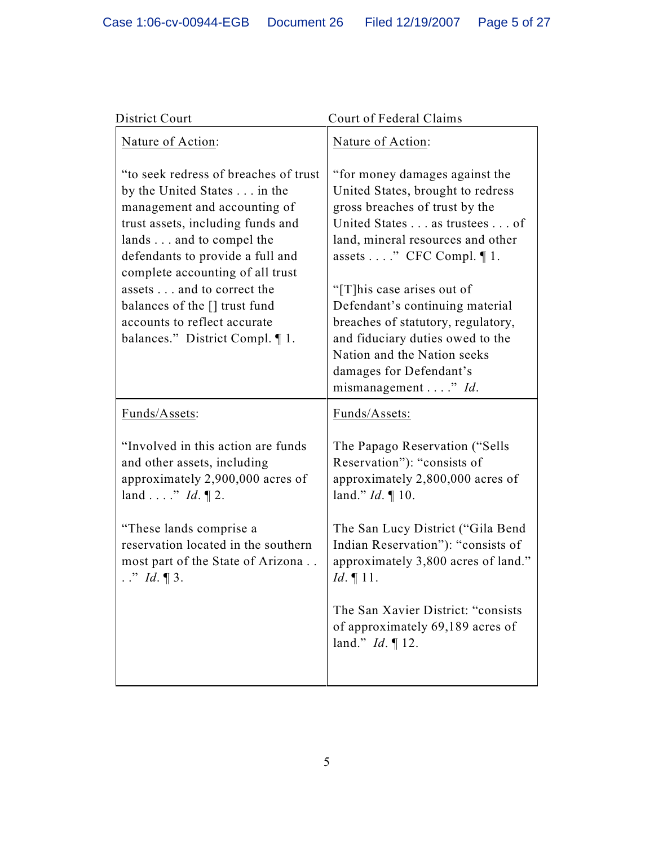| District Court                                                                                                                                                                                                                                                                                                                                                                 | Court of Federal Claims                                                                                                                                                                                                                                                                                                                                                                                                               |
|--------------------------------------------------------------------------------------------------------------------------------------------------------------------------------------------------------------------------------------------------------------------------------------------------------------------------------------------------------------------------------|---------------------------------------------------------------------------------------------------------------------------------------------------------------------------------------------------------------------------------------------------------------------------------------------------------------------------------------------------------------------------------------------------------------------------------------|
| Nature of Action:                                                                                                                                                                                                                                                                                                                                                              | Nature of Action:                                                                                                                                                                                                                                                                                                                                                                                                                     |
| "to seek redress of breaches of trust"<br>by the United States in the<br>management and accounting of<br>trust assets, including funds and<br>lands and to compel the<br>defendants to provide a full and<br>complete accounting of all trust<br>assets and to correct the<br>balances of the [] trust fund<br>accounts to reflect accurate<br>balances." District Compl. ¶ 1. | "for money damages against the<br>United States, brought to redress<br>gross breaches of trust by the<br>United States as trustees of<br>land, mineral resources and other<br>assets " CFC Compl. $\P$ 1.<br>"[T] his case arises out of<br>Defendant's continuing material<br>breaches of statutory, regulatory,<br>and fiduciary duties owed to the<br>Nation and the Nation seeks<br>damages for Defendant's<br>mismanagement" Id. |
| Funds/Assets:                                                                                                                                                                                                                                                                                                                                                                  | Funds/Assets:                                                                                                                                                                                                                                                                                                                                                                                                                         |
| "Involved in this action are funds"<br>and other assets, including<br>approximately 2,900,000 acres of<br>land  ." $Id. \P$ 2.                                                                                                                                                                                                                                                 | The Papago Reservation ("Sells<br>Reservation"): "consists of<br>approximately 2,800,000 acres of<br>land." $Id. \P$ 10.                                                                                                                                                                                                                                                                                                              |
| "These lands comprise a<br>reservation located in the southern<br>most part of the State of Arizona<br>$\therefore$ <i>'' Id</i> .   3.                                                                                                                                                                                                                                        | The San Lucy District ("Gila Bend<br>Indian Reservation"): "consists of<br>approximately 3,800 acres of land."<br>$Id. \P 11.$                                                                                                                                                                                                                                                                                                        |
|                                                                                                                                                                                                                                                                                                                                                                                | The San Xavier District: "consists"<br>of approximately 69,189 acres of<br>land." $Id. \P$ 12.                                                                                                                                                                                                                                                                                                                                        |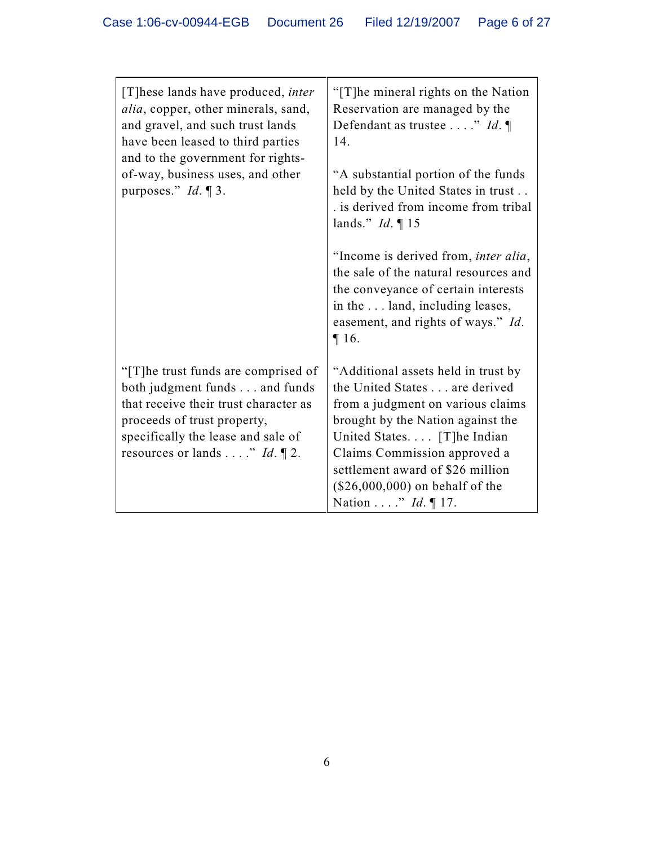| [T]hese lands have produced, <i>inter</i><br><i>alia</i> , copper, other minerals, sand,<br>and gravel, and such trust lands<br>have been leased to third parties<br>and to the government for rights-<br>of-way, business uses, and other<br>purposes." $Id. \P 3$ . | "[T]he mineral rights on the Nation<br>Reservation are managed by the<br>Defendant as trustee " Id. $\P$<br>14.<br>"A substantial portion of the funds"<br>held by the United States in trust<br>. is derived from income from tribal<br>lands." $Id. \P 15$<br>"Income is derived from, <i>inter alia</i> ,<br>the sale of the natural resources and<br>the conveyance of certain interests<br>in the land, including leases, |
|-----------------------------------------------------------------------------------------------------------------------------------------------------------------------------------------------------------------------------------------------------------------------|--------------------------------------------------------------------------------------------------------------------------------------------------------------------------------------------------------------------------------------------------------------------------------------------------------------------------------------------------------------------------------------------------------------------------------|
| "[T] he trust funds are comprised of<br>both judgment funds and funds<br>that receive their trust character as<br>proceeds of trust property,<br>specifically the lease and sale of<br>resources or lands" Id. $\P$ 2.                                                | easement, and rights of ways." Id.<br>$\P 16.$<br>"Additional assets held in trust by<br>the United States are derived<br>from a judgment on various claims<br>brought by the Nation against the<br>United States [T]he Indian<br>Claims Commission approved a<br>settlement award of \$26 million<br>$(\$26,000,000)$ on behalf of the                                                                                        |
|                                                                                                                                                                                                                                                                       | Nation " $Id. \P$ 17.                                                                                                                                                                                                                                                                                                                                                                                                          |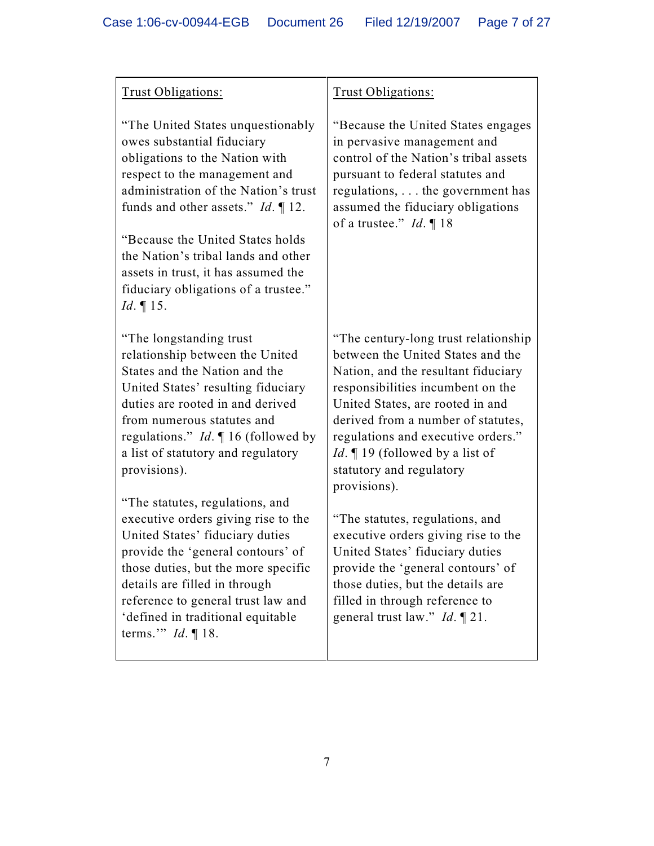| Trust Obligations:                                                                                                                                                                                                                                                                                                                                                                                                                                                                                                                                                                                                                 | Trust Obligations:                                                                                                                                                                                                                                                                                                                                                                                                                                                                                                                                                                                                            |
|------------------------------------------------------------------------------------------------------------------------------------------------------------------------------------------------------------------------------------------------------------------------------------------------------------------------------------------------------------------------------------------------------------------------------------------------------------------------------------------------------------------------------------------------------------------------------------------------------------------------------------|-------------------------------------------------------------------------------------------------------------------------------------------------------------------------------------------------------------------------------------------------------------------------------------------------------------------------------------------------------------------------------------------------------------------------------------------------------------------------------------------------------------------------------------------------------------------------------------------------------------------------------|
| "The United States unquestionably"<br>owes substantial fiduciary<br>obligations to the Nation with<br>respect to the management and<br>administration of the Nation's trust<br>funds and other assets." $Id. \P$ 12.<br>"Because the United States holds"<br>the Nation's tribal lands and other<br>assets in trust, it has assumed the<br>fiduciary obligations of a trustee."<br>$Id. \P 15.$                                                                                                                                                                                                                                    | "Because the United States engages"<br>in pervasive management and<br>control of the Nation's tribal assets<br>pursuant to federal statutes and<br>regulations, the government has<br>assumed the fiduciary obligations<br>of a trustee." $Id. \P 18$                                                                                                                                                                                                                                                                                                                                                                         |
| "The longstanding trust"<br>relationship between the United<br>States and the Nation and the<br>United States' resulting fiduciary<br>duties are rooted in and derived<br>from numerous statutes and<br>regulations." $Id. \P 16$ (followed by<br>a list of statutory and regulatory<br>provisions).<br>"The statutes, regulations, and<br>executive orders giving rise to the<br>United States' fiduciary duties<br>provide the 'general contours' of<br>those duties, but the more specific<br>details are filled in through<br>reference to general trust law and<br>'defined in traditional equitable<br>terms." $Id. \P 18$ . | "The century-long trust relationship"<br>between the United States and the<br>Nation, and the resultant fiduciary<br>responsibilities incumbent on the<br>United States, are rooted in and<br>derived from a number of statutes,<br>regulations and executive orders."<br><i>Id.</i> $\P$ 19 (followed by a list of<br>statutory and regulatory<br>provisions).<br>"The statutes, regulations, and<br>executive orders giving rise to the<br>United States' fiduciary duties<br>provide the 'general contours' of<br>those duties, but the details are<br>filled in through reference to<br>general trust law." $Id. \P 21$ . |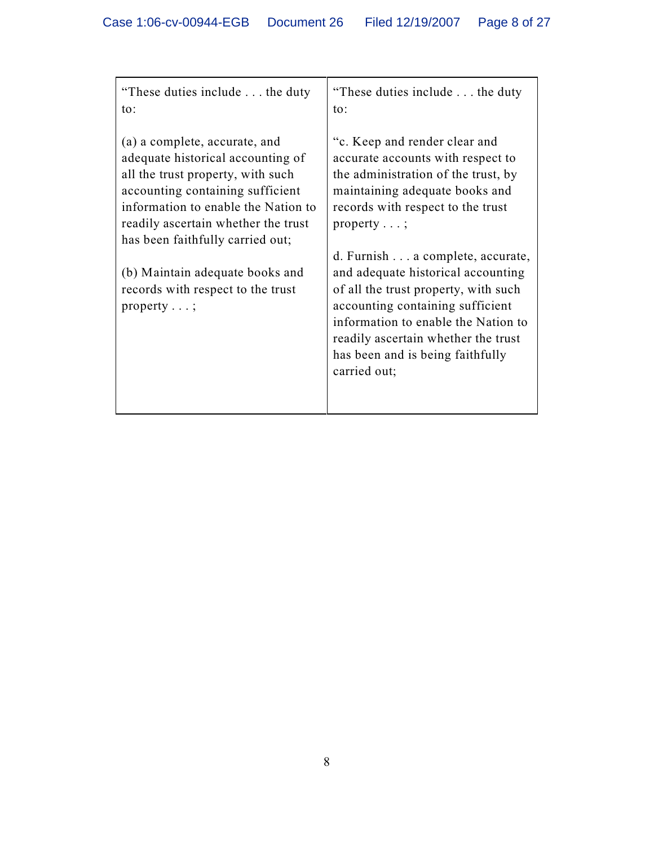| "These duties include the duty"<br>to:                                                                                                                                                                                                                        | "These duties include the duty"<br>to:                                                                                                                                                                                                                                               |
|---------------------------------------------------------------------------------------------------------------------------------------------------------------------------------------------------------------------------------------------------------------|--------------------------------------------------------------------------------------------------------------------------------------------------------------------------------------------------------------------------------------------------------------------------------------|
| (a) a complete, accurate, and<br>adequate historical accounting of<br>all the trust property, with such<br>accounting containing sufficient<br>information to enable the Nation to<br>readily ascertain whether the trust<br>has been faithfully carried out; | "c. Keep and render clear and<br>accurate accounts with respect to<br>the administration of the trust, by<br>maintaining adequate books and<br>records with respect to the trust<br>property $\dots;$                                                                                |
| (b) Maintain adequate books and<br>records with respect to the trust<br>property $\dots;$                                                                                                                                                                     | d. Furnish a complete, accurate,<br>and adequate historical accounting<br>of all the trust property, with such<br>accounting containing sufficient<br>information to enable the Nation to<br>readily ascertain whether the trust<br>has been and is being faithfully<br>carried out; |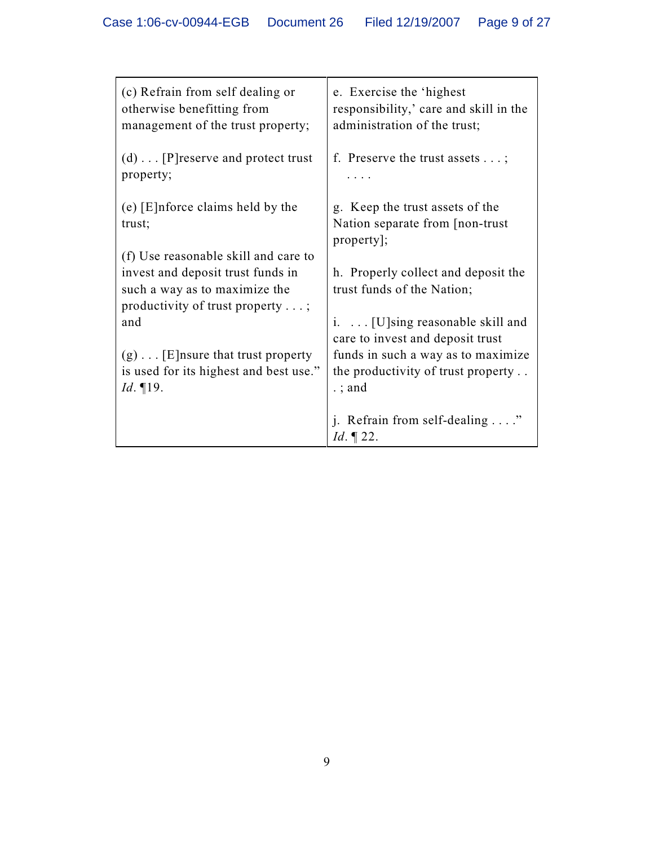| (c) Refrain from self dealing or<br>otherwise benefitting from<br>management of the trust property;           | e. Exercise the 'highest<br>responsibility,' care and skill in the<br>administration of the trust; |
|---------------------------------------------------------------------------------------------------------------|----------------------------------------------------------------------------------------------------|
| $(d) \ldots$ [P] reserve and protect trust<br>property;                                                       | f. Preserve the trust assets $\dots$ ;                                                             |
| (e) $[E]$ nforce claims held by the<br>trust;                                                                 | g. Keep the trust assets of the<br>Nation separate from [non-trust]<br>property];                  |
| (f) Use reasonable skill and care to                                                                          |                                                                                                    |
| invest and deposit trust funds in<br>such a way as to maximize the<br>productivity of trust property $\dots;$ | h. Properly collect and deposit the<br>trust funds of the Nation;                                  |
| and                                                                                                           | i. $\ldots$ [U]sing reasonable skill and<br>care to invest and deposit trust                       |
| $(g) \dots$ [E] nsure that trust property                                                                     | funds in such a way as to maximize                                                                 |
| is used for its highest and best use."                                                                        | the productivity of trust property                                                                 |
| <i>Id.</i> 19.                                                                                                | $\therefore$ and                                                                                   |
|                                                                                                               | j. Refrain from self-dealing"<br><i>Id.</i> $\P$ 22.                                               |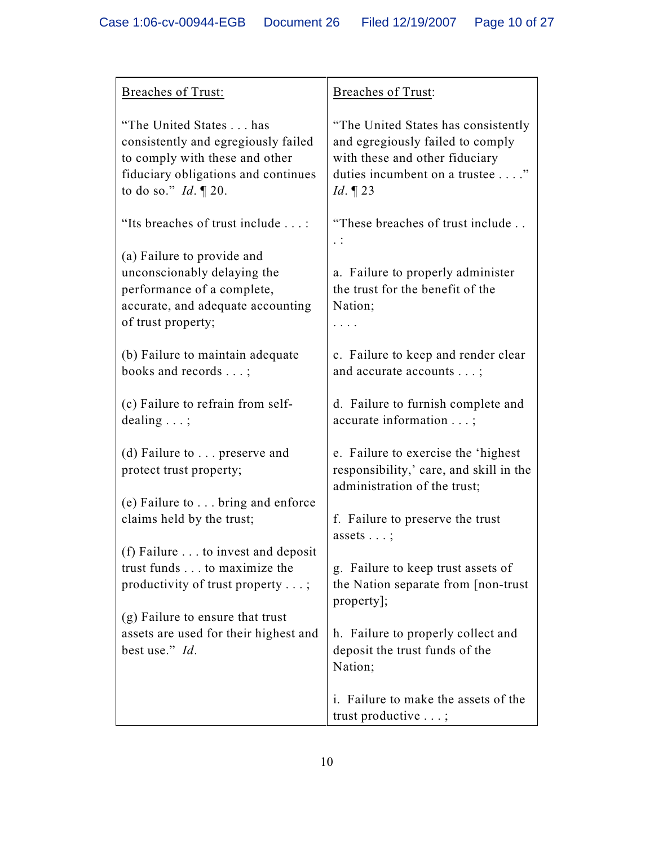| <b>Breaches of Trust:</b>                                                                                                                                          | <b>Breaches of Trust:</b>                                                                                                                                  |
|--------------------------------------------------------------------------------------------------------------------------------------------------------------------|------------------------------------------------------------------------------------------------------------------------------------------------------------|
|                                                                                                                                                                    |                                                                                                                                                            |
| "The United States has<br>consistently and egregiously failed<br>to comply with these and other<br>fiduciary obligations and continues<br>to do so." $Id. \P 20$ . | "The United States has consistently<br>and egregiously failed to comply<br>with these and other fiduciary<br>duties incumbent on a trustee"<br>$Id. \P 23$ |
| "Its breaches of trust include :                                                                                                                                   | "These breaches of trust include                                                                                                                           |
| (a) Failure to provide and<br>unconscionably delaying the<br>performance of a complete,<br>accurate, and adequate accounting<br>of trust property;                 | a. Failure to properly administer<br>the trust for the benefit of the<br>Nation;                                                                           |
| (b) Failure to maintain adequate<br>books and records ;                                                                                                            | c. Failure to keep and render clear<br>and accurate accounts ;                                                                                             |
| (c) Failure to refrain from self-<br>dealing $\ldots$ ;                                                                                                            | d. Failure to furnish complete and<br>accurate information ;                                                                                               |
| (d) Failure to $\ldots$ preserve and<br>protect trust property;                                                                                                    | e. Failure to exercise the 'highest<br>responsibility,' care, and skill in the<br>administration of the trust;                                             |
| (e) Failure to $\ldots$ bring and enforce                                                                                                                          |                                                                                                                                                            |
| claims held by the trust;                                                                                                                                          | f. Failure to preserve the trust<br>assets $\ldots$ ;                                                                                                      |
| (f) Failure to invest and deposit<br>trust funds to maximize the<br>productivity of trust property;<br>(g) Failure to ensure that trust                            | g. Failure to keep trust assets of<br>the Nation separate from [non-trust]<br>property];                                                                   |
| assets are used for their highest and<br>best use." Id.                                                                                                            | h. Failure to properly collect and<br>deposit the trust funds of the<br>Nation;                                                                            |
|                                                                                                                                                                    | i. Failure to make the assets of the<br>trust productive ;                                                                                                 |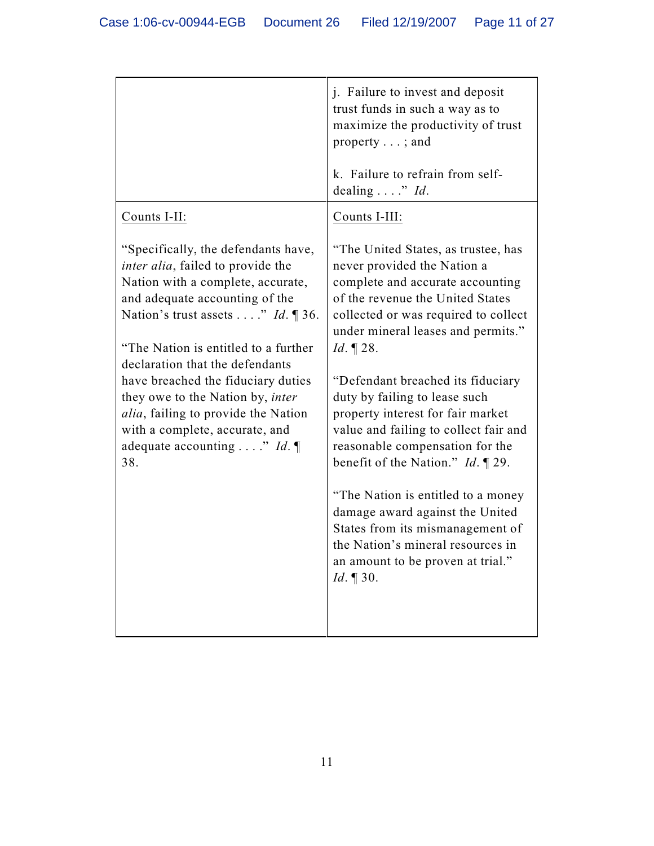|                                                                                                                                                                                                                                                                                                                                                                                                                                                                                              | j. Failure to invest and deposit<br>trust funds in such a way as to<br>maximize the productivity of trust<br>property $\dots$ ; and                                                                                                                                                                                                                                                                                                                                                                                                                                                                                                                                                                   |
|----------------------------------------------------------------------------------------------------------------------------------------------------------------------------------------------------------------------------------------------------------------------------------------------------------------------------------------------------------------------------------------------------------------------------------------------------------------------------------------------|-------------------------------------------------------------------------------------------------------------------------------------------------------------------------------------------------------------------------------------------------------------------------------------------------------------------------------------------------------------------------------------------------------------------------------------------------------------------------------------------------------------------------------------------------------------------------------------------------------------------------------------------------------------------------------------------------------|
|                                                                                                                                                                                                                                                                                                                                                                                                                                                                                              | k. Failure to refrain from self-<br>dealing " $Id$ .                                                                                                                                                                                                                                                                                                                                                                                                                                                                                                                                                                                                                                                  |
| Counts I-II:                                                                                                                                                                                                                                                                                                                                                                                                                                                                                 | Counts I-III:                                                                                                                                                                                                                                                                                                                                                                                                                                                                                                                                                                                                                                                                                         |
| "Specifically, the defendants have,<br><i>inter alia</i> , failed to provide the<br>Nation with a complete, accurate,<br>and adequate accounting of the<br>Nation's trust assets" Id. $\mathbb{I}$ 36.<br>"The Nation is entitled to a further<br>declaration that the defendants<br>have breached the fiduciary duties<br>they owe to the Nation by, <i>inter</i><br><i>alia</i> , failing to provide the Nation<br>with a complete, accurate, and<br>adequate accounting " Id. $\P$<br>38. | "The United States, as trustee, has<br>never provided the Nation a<br>complete and accurate accounting<br>of the revenue the United States<br>collected or was required to collect<br>under mineral leases and permits."<br><i>Id.</i> $\P$ 28.<br>"Defendant breached its fiduciary<br>duty by failing to lease such<br>property interest for fair market<br>value and failing to collect fair and<br>reasonable compensation for the<br>benefit of the Nation." $Id. \P$ 29.<br>"The Nation is entitled to a money"<br>damage award against the United<br>States from its mismanagement of<br>the Nation's mineral resources in<br>an amount to be proven at trial."<br><i>Id.</i> $\llbracket 30.$ |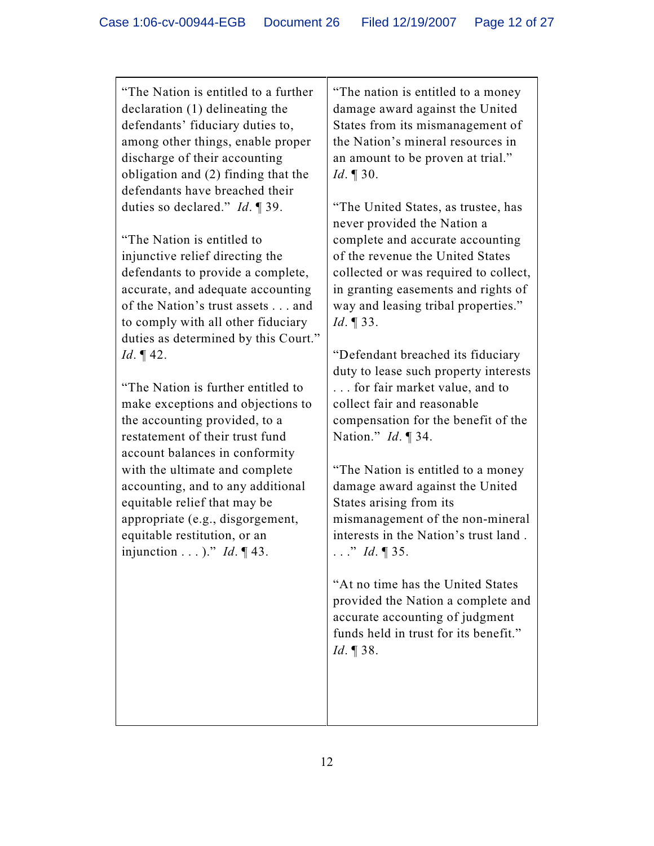"The Nation is entitled to a further declaration (1) delineating the defendants' fiduciary duties to, among other things, enable proper discharge of their accounting obligation and (2) finding that the defendants have breached their duties so declared." *Id*. ¶ 39.

"The Nation is entitled to injunctive relief directing the defendants to provide a complete, accurate, and adequate accounting of the Nation's trust assets . . . and to comply with all other fiduciary duties as determined by this Court." *Id*. ¶ 42.

"The Nation is further entitled to make exceptions and objections to the accounting provided, to a restatement of their trust fund account balances in conformity with the ultimate and complete accounting, and to any additional equitable relief that may be appropriate (e.g., disgorgement, equitable restitution, or an injunction . . . )." *Id*. ¶ 43.

"The nation is entitled to a money damage award against the United States from its mismanagement of the Nation's mineral resources in an amount to be proven at trial." *Id*. ¶ 30.

"The United States, as trustee, has never provided the Nation a complete and accurate accounting of the revenue the United States collected or was required to collect, in granting easements and rights of way and leasing tribal properties." *Id*. ¶ 33.

"Defendant breached its fiduciary duty to lease such property interests . . . for fair market value, and to collect fair and reasonable compensation for the benefit of the Nation." *Id*. ¶ 34.

"The Nation is entitled to a money damage award against the United States arising from its mismanagement of the non-mineral interests in the Nation's trust land . . . ." *Id*. ¶ 35.

"At no time has the United States provided the Nation a complete and accurate accounting of judgment funds held in trust for its benefit." *Id*. ¶ 38.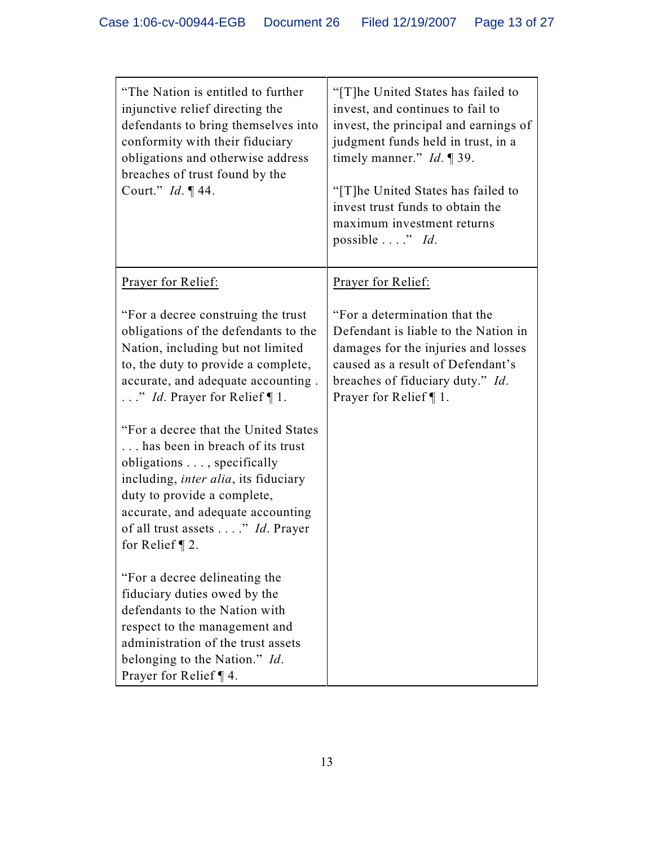| "The Nation is entitled to further"<br>injunctive relief directing the<br>defendants to bring themselves into<br>conformity with their fiduciary<br>obligations and otherwise address<br>breaches of trust found by the<br>Court." <i>Id.</i> 144.                                                                                                                                                                                                                                                                                            | "[T]he United States has failed to<br>invest, and continues to fail to<br>invest, the principal and earnings of<br>judgment funds held in trust, in a<br>timely manner." $Id. \P 39$ .<br>"[T]he United States has failed to<br>invest trust funds to obtain the<br>maximum investment returns<br>possible" Id. |
|-----------------------------------------------------------------------------------------------------------------------------------------------------------------------------------------------------------------------------------------------------------------------------------------------------------------------------------------------------------------------------------------------------------------------------------------------------------------------------------------------------------------------------------------------|-----------------------------------------------------------------------------------------------------------------------------------------------------------------------------------------------------------------------------------------------------------------------------------------------------------------|
| Prayer for Relief:                                                                                                                                                                                                                                                                                                                                                                                                                                                                                                                            | Prayer for Relief:                                                                                                                                                                                                                                                                                              |
| "For a decree construing the trust"<br>obligations of the defendants to the<br>Nation, including but not limited<br>to, the duty to provide a complete,<br>accurate, and adequate accounting.<br>$\ldots$ " <i>Id.</i> Prayer for Relief ¶ 1.<br>"For a decree that the United States"<br>has been in breach of its trust<br>obligations , specifically<br>including, <i>inter alia</i> , its fiduciary<br>duty to provide a complete,<br>accurate, and adequate accounting<br>of all trust assets " <i>Id</i> . Prayer<br>for Relief $\P$ 2. | "For a determination that the<br>Defendant is liable to the Nation in<br>damages for the injuries and losses<br>caused as a result of Defendant's<br>breaches of fiduciary duty." Id.<br>Prayer for Relief $\P$ 1.                                                                                              |
| "For a decree delineating the<br>fiduciary duties owed by the<br>defendants to the Nation with<br>respect to the management and<br>administration of the trust assets<br>belonging to the Nation." Id.<br>Prayer for Relief $\P$ 4.                                                                                                                                                                                                                                                                                                           |                                                                                                                                                                                                                                                                                                                 |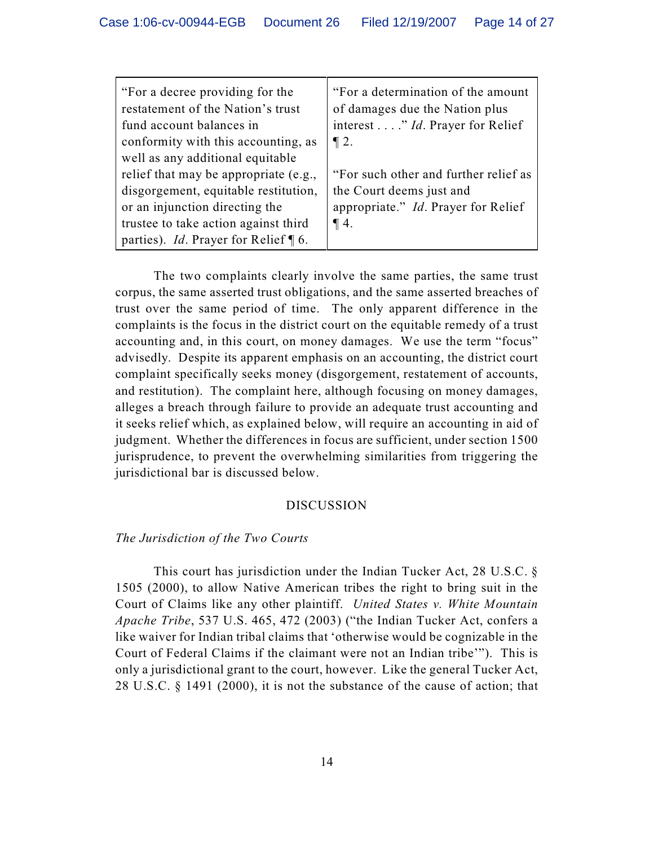| "For a decree providing for the<br>restatement of the Nation's trust<br>fund account balances in<br>conformity with this accounting, as<br>well as any additional equitable                               | "For a determination of the amount"<br>of damages due the Nation plus<br>interest " <i>Id</i> . Prayer for Relief<br>$\P 2.$ |
|-----------------------------------------------------------------------------------------------------------------------------------------------------------------------------------------------------------|------------------------------------------------------------------------------------------------------------------------------|
| relief that may be appropriate (e.g.,<br>disgorgement, equitable restitution,<br>or an injunction directing the<br>trustee to take action against third<br>parties). <i>Id.</i> Prayer for Relief $\P$ 6. | "For such other and further relief as<br>the Court deems just and<br>appropriate." <i>Id.</i> Prayer for Relief<br>$\P$ 4.   |

The two complaints clearly involve the same parties, the same trust corpus, the same asserted trust obligations, and the same asserted breaches of trust over the same period of time. The only apparent difference in the complaints is the focus in the district court on the equitable remedy of a trust accounting and, in this court, on money damages. We use the term "focus" advisedly. Despite its apparent emphasis on an accounting, the district court complaint specifically seeks money (disgorgement, restatement of accounts, and restitution). The complaint here, although focusing on money damages, alleges a breach through failure to provide an adequate trust accounting and it seeks relief which, as explained below, will require an accounting in aid of judgment. Whether the differences in focus are sufficient, under section 1500 jurisprudence, to prevent the overwhelming similarities from triggering the jurisdictional bar is discussed below.

#### DISCUSSION

#### *The Jurisdiction of the Two Courts*

This court has jurisdiction under the Indian Tucker Act, 28 U.S.C. § 1505 (2000), to allow Native American tribes the right to bring suit in the Court of Claims like any other plaintiff. *United States v. White Mountain Apache Tribe*, 537 U.S. 465, 472 (2003) ("the Indian Tucker Act, confers a like waiver for Indian tribal claims that 'otherwise would be cognizable in the Court of Federal Claims if the claimant were not an Indian tribe'"). This is only a jurisdictional grant to the court, however. Like the general Tucker Act, 28 U.S.C. § 1491 (2000), it is not the substance of the cause of action; that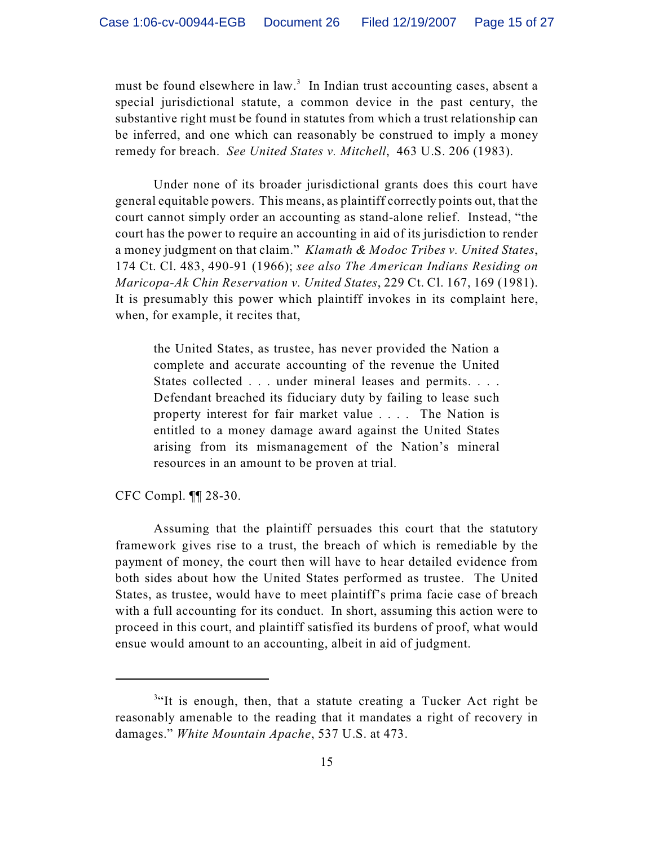must be found elsewhere in law.<sup>3</sup> In Indian trust accounting cases, absent a special jurisdictional statute, a common device in the past century, the substantive right must be found in statutes from which a trust relationship can be inferred, and one which can reasonably be construed to imply a money remedy for breach. *See United States v. Mitchell*, 463 U.S. 206 (1983).

Under none of its broader jurisdictional grants does this court have general equitable powers. This means, as plaintiff correctly points out, that the court cannot simply order an accounting as stand-alone relief. Instead, "the court has the power to require an accounting in aid of its jurisdiction to render a money judgment on that claim." *Klamath & Modoc Tribes v. United States*, 174 Ct. Cl. 483, 490-91 (1966); *see also The American Indians Residing on Maricopa-Ak Chin Reservation v. United States*, 229 Ct. Cl. 167, 169 (1981). It is presumably this power which plaintiff invokes in its complaint here, when, for example, it recites that,

the United States, as trustee, has never provided the Nation a complete and accurate accounting of the revenue the United States collected . . . under mineral leases and permits. . . . Defendant breached its fiduciary duty by failing to lease such property interest for fair market value . . . . The Nation is entitled to a money damage award against the United States arising from its mismanagement of the Nation's mineral resources in an amount to be proven at trial.

CFC Compl. ¶¶ 28-30.

Assuming that the plaintiff persuades this court that the statutory framework gives rise to a trust, the breach of which is remediable by the payment of money, the court then will have to hear detailed evidence from both sides about how the United States performed as trustee. The United States, as trustee, would have to meet plaintiff's prima facie case of breach with a full accounting for its conduct. In short, assuming this action were to proceed in this court, and plaintiff satisfied its burdens of proof, what would ensue would amount to an accounting, albeit in aid of judgment.

 $3$ "It is enough, then, that a statute creating a Tucker Act right be reasonably amenable to the reading that it mandates a right of recovery in damages." *White Mountain Apache*, 537 U.S. at 473.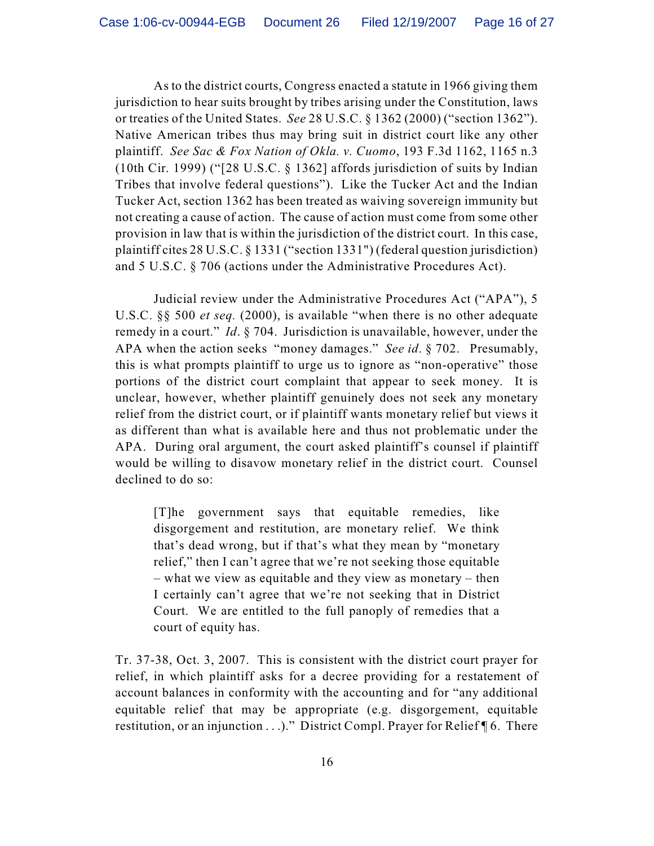As to the district courts, Congress enacted a statute in 1966 giving them jurisdiction to hear suits brought by tribes arising under the Constitution, laws or treaties of the United States. *See* 28 U.S.C. § 1362 (2000) ("section 1362"). Native American tribes thus may bring suit in district court like any other plaintiff. *See Sac & Fox Nation of Okla. v. Cuomo*, 193 F.3d 1162, 1165 n.3 (10th Cir. 1999) ("[28 U.S.C. § 1362] affords jurisdiction of suits by Indian Tribes that involve federal questions"). Like the Tucker Act and the Indian Tucker Act, section 1362 has been treated as waiving sovereign immunity but not creating a cause of action. The cause of action must come from some other provision in law that is within the jurisdiction of the district court. In this case, plaintiff cites 28 U.S.C. § 1331 ("section 1331") (federal question jurisdiction) and 5 U.S.C. § 706 (actions under the Administrative Procedures Act).

Judicial review under the Administrative Procedures Act ("APA"), 5 U.S.C. §§ 500 *et seq.* (2000), is available "when there is no other adequate remedy in a court." *Id*. § 704. Jurisdiction is unavailable, however, under the APA when the action seeks "money damages." *See id*. § 702. Presumably, this is what prompts plaintiff to urge us to ignore as "non-operative" those portions of the district court complaint that appear to seek money. It is unclear, however, whether plaintiff genuinely does not seek any monetary relief from the district court, or if plaintiff wants monetary relief but views it as different than what is available here and thus not problematic under the APA. During oral argument, the court asked plaintiff's counsel if plaintiff would be willing to disavow monetary relief in the district court. Counsel declined to do so:

[T]he government says that equitable remedies, like disgorgement and restitution, are monetary relief. We think that's dead wrong, but if that's what they mean by "monetary relief," then I can't agree that we're not seeking those equitable – what we view as equitable and they view as monetary – then I certainly can't agree that we're not seeking that in District Court. We are entitled to the full panoply of remedies that a court of equity has.

Tr. 37-38, Oct. 3, 2007. This is consistent with the district court prayer for relief, in which plaintiff asks for a decree providing for a restatement of account balances in conformity with the accounting and for "any additional equitable relief that may be appropriate (e.g. disgorgement, equitable restitution, or an injunction . . .)." District Compl. Prayer for Relief ¶ 6. There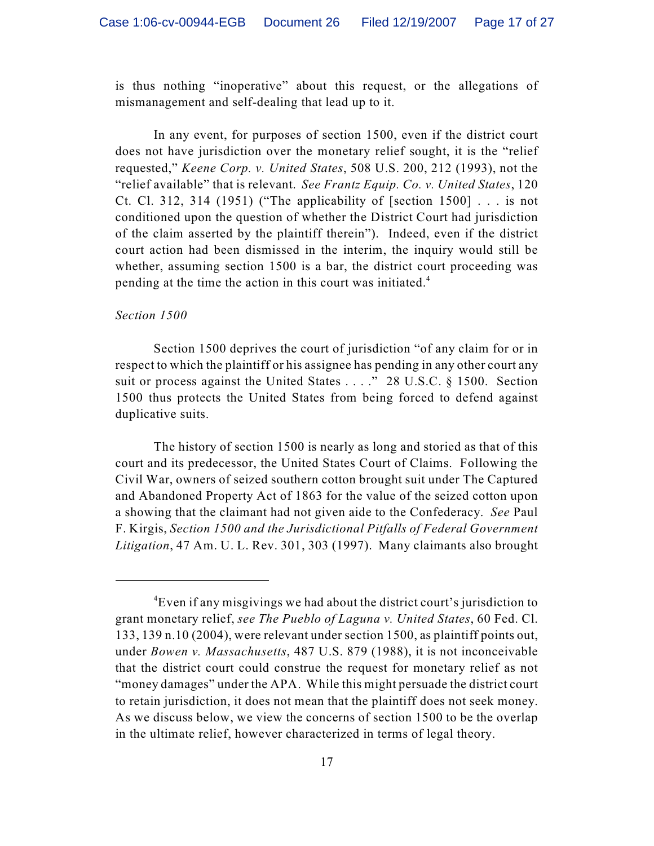is thus nothing "inoperative" about this request, or the allegations of mismanagement and self-dealing that lead up to it.

In any event, for purposes of section 1500, even if the district court does not have jurisdiction over the monetary relief sought, it is the "relief requested," *Keene Corp. v. United States*, 508 U.S. 200, 212 (1993), not the "relief available" that is relevant. *See Frantz Equip. Co. v. United States*, 120 Ct. Cl. 312, 314 (1951) ("The applicability of [section  $1500$ ] ... is not conditioned upon the question of whether the District Court had jurisdiction of the claim asserted by the plaintiff therein"). Indeed, even if the district court action had been dismissed in the interim, the inquiry would still be whether, assuming section 1500 is a bar, the district court proceeding was pending at the time the action in this court was initiated.<sup>4</sup>

#### *Section 1500*

Section 1500 deprives the court of jurisdiction "of any claim for or in respect to which the plaintiff or his assignee has pending in any other court any suit or process against the United States . . . ." 28 U.S.C. § 1500. Section 1500 thus protects the United States from being forced to defend against duplicative suits.

The history of section 1500 is nearly as long and storied as that of this court and its predecessor, the United States Court of Claims. Following the Civil War, owners of seized southern cotton brought suit under The Captured and Abandoned Property Act of 1863 for the value of the seized cotton upon a showing that the claimant had not given aide to the Confederacy. *See* Paul F. Kirgis, *Section 1500 and the Jurisdictional Pitfalls of Federal Government Litigation*, 47 Am. U. L. Rev. 301, 303 (1997). Many claimants also brought

<sup>&</sup>lt;sup>4</sup>Even if any misgivings we had about the district court's jurisdiction to grant monetary relief, *see The Pueblo of Laguna v. United States*, 60 Fed. Cl. 133, 139 n.10 (2004), were relevant under section 1500, as plaintiff points out, under *Bowen v. Massachusetts*, 487 U.S. 879 (1988), it is not inconceivable that the district court could construe the request for monetary relief as not "money damages" under the APA. While this might persuade the district court to retain jurisdiction, it does not mean that the plaintiff does not seek money. As we discuss below, we view the concerns of section 1500 to be the overlap in the ultimate relief, however characterized in terms of legal theory.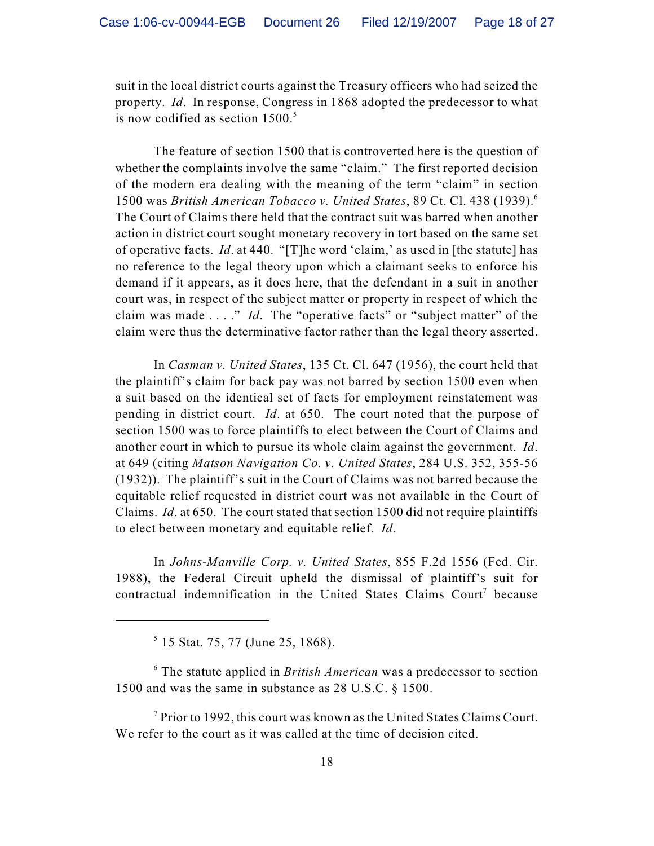suit in the local district courts against the Treasury officers who had seized the property. *Id*. In response, Congress in 1868 adopted the predecessor to what is now codified as section  $1500$ .<sup>5</sup>

The feature of section 1500 that is controverted here is the question of whether the complaints involve the same "claim." The first reported decision of the modern era dealing with the meaning of the term "claim" in section 1500 was *British American Tobacco v. United States*, 89 Ct. Cl. 438 (1939).<sup>6</sup> The Court of Claims there held that the contract suit was barred when another action in district court sought monetary recovery in tort based on the same set of operative facts. *Id*. at 440. "[T]he word 'claim,' as used in [the statute] has no reference to the legal theory upon which a claimant seeks to enforce his demand if it appears, as it does here, that the defendant in a suit in another court was, in respect of the subject matter or property in respect of which the claim was made . . . ." *Id*. The "operative facts" or "subject matter" of the claim were thus the determinative factor rather than the legal theory asserted.

In *Casman v. United States*, 135 Ct. Cl. 647 (1956), the court held that the plaintiff's claim for back pay was not barred by section 1500 even when a suit based on the identical set of facts for employment reinstatement was pending in district court. *Id*. at 650. The court noted that the purpose of section 1500 was to force plaintiffs to elect between the Court of Claims and another court in which to pursue its whole claim against the government. *Id*. at 649 (citing *Matson Navigation Co. v. United States*, 284 U.S. 352, 355-56 (1932)). The plaintiff's suit in the Court of Claims was not barred because the equitable relief requested in district court was not available in the Court of Claims. *Id*. at 650. The court stated that section 1500 did not require plaintiffs to elect between monetary and equitable relief. *Id*.

In *Johns-Manville Corp. v. United States*, 855 F.2d 1556 (Fed. Cir. 1988), the Federal Circuit upheld the dismissal of plaintiff's suit for contractual indemnification in the United States Claims Court<sup>7</sup> because

 The statute applied in *British American* was a predecessor to section <sup>6</sup> 1500 and was the same in substance as 28 U.S.C. § 1500.

 $\alpha$ <sup>7</sup> Prior to 1992, this court was known as the United States Claims Court. We refer to the court as it was called at the time of decision cited.

 $5$  15 Stat. 75, 77 (June 25, 1868).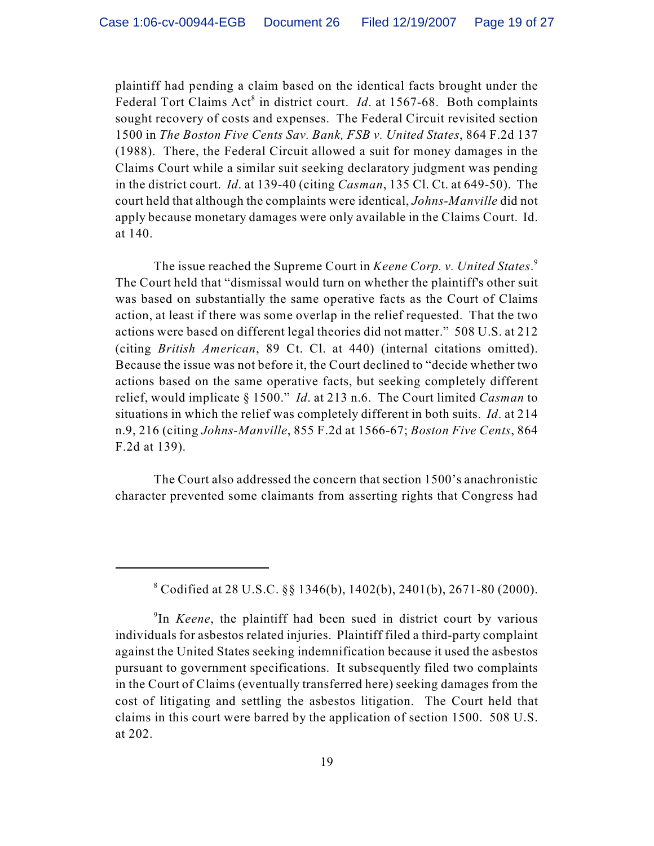plaintiff had pending a claim based on the identical facts brought under the Federal Tort Claims  $Act^8$  in district court. *Id.* at 1567-68. Both complaints sought recovery of costs and expenses. The Federal Circuit revisited section 1500 in *The Boston Five Cents Sav. Bank, FSB v. United States*, 864 F.2d 137 (1988). There, the Federal Circuit allowed a suit for money damages in the Claims Court while a similar suit seeking declaratory judgment was pending in the district court. *Id*. at 139-40 (citing *Casman*, 135 Cl. Ct. at 649-50). The court held that although the complaints were identical, *Johns-Manville* did not apply because monetary damages were only available in the Claims Court. Id. at 140.

The issue reached the Supreme Court in *Keene Corp. v. United States*. 9 The Court held that "dismissal would turn on whether the plaintiff's other suit was based on substantially the same operative facts as the Court of Claims action, at least if there was some overlap in the relief requested. That the two actions were based on different legal theories did not matter." 508 U.S. at 212 (citing *British American*, 89 Ct. Cl. at 440) (internal citations omitted). Because the issue was not before it, the Court declined to "decide whether two actions based on the same operative facts, but seeking completely different relief, would implicate § 1500." *Id*. at 213 n.6. The Court limited *Casman* to situations in which the relief was completely different in both suits. *Id*. at 214 n.9, 216 (citing *Johns-Manville*, 855 F.2d at 1566-67; *Boston Five Cents*, 864 F.2d at 139).

The Court also addressed the concern that section 1500's anachronistic character prevented some claimants from asserting rights that Congress had

 $^8$  Codified at 28 U.S.C. §§ 1346(b), 1402(b), 2401(b), 2671-80 (2000).

<sup>&</sup>lt;sup>9</sup>In *Keene*, the plaintiff had been sued in district court by various individuals for asbestos related injuries. Plaintiff filed a third-party complaint against the United States seeking indemnification because it used the asbestos pursuant to government specifications. It subsequently filed two complaints in the Court of Claims (eventually transferred here) seeking damages from the cost of litigating and settling the asbestos litigation. The Court held that claims in this court were barred by the application of section 1500. 508 U.S. at 202.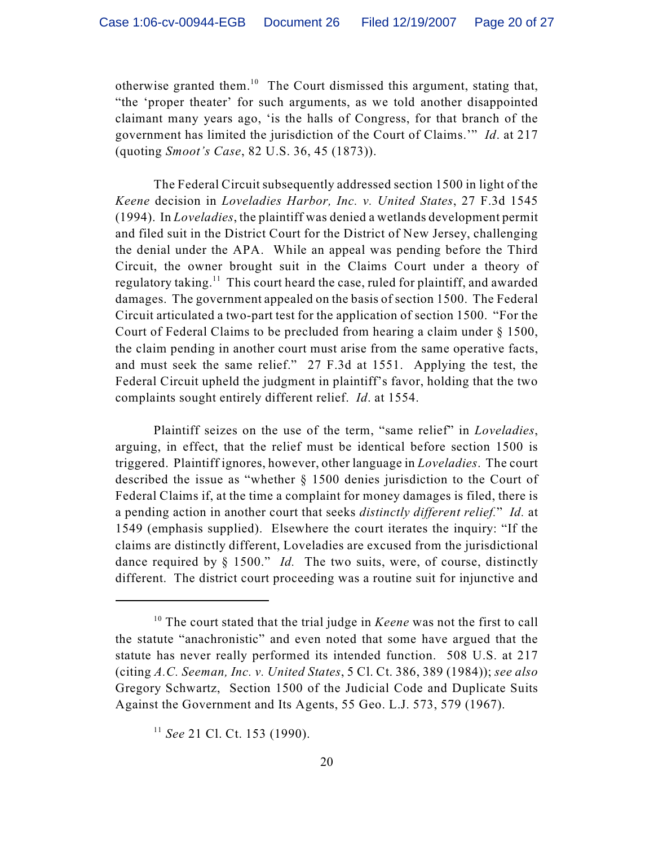otherwise granted them.<sup>10</sup> The Court dismissed this argument, stating that, "the 'proper theater' for such arguments, as we told another disappointed claimant many years ago, 'is the halls of Congress, for that branch of the government has limited the jurisdiction of the Court of Claims.'" *Id*. at 217 (quoting *Smoot's Case*, 82 U.S. 36, 45 (1873)).

The Federal Circuit subsequently addressed section 1500 in light of the *Keene* decision in *Loveladies Harbor, Inc. v. United States*, 27 F.3d 1545 (1994). In *Loveladies*, the plaintiff was denied a wetlands development permit and filed suit in the District Court for the District of New Jersey, challenging the denial under the APA. While an appeal was pending before the Third Circuit, the owner brought suit in the Claims Court under a theory of regulatory taking.<sup>11</sup> This court heard the case, ruled for plaintiff, and awarded damages. The government appealed on the basis of section 1500. The Federal Circuit articulated a two-part test for the application of section 1500. "For the Court of Federal Claims to be precluded from hearing a claim under § 1500, the claim pending in another court must arise from the same operative facts, and must seek the same relief." 27 F.3d at 1551. Applying the test, the Federal Circuit upheld the judgment in plaintiff's favor, holding that the two complaints sought entirely different relief. *Id*. at 1554.

Plaintiff seizes on the use of the term, "same relief" in *Loveladies*, arguing, in effect, that the relief must be identical before section 1500 is triggered. Plaintiff ignores, however, other language in *Loveladies*. The court described the issue as "whether § 1500 denies jurisdiction to the Court of Federal Claims if, at the time a complaint for money damages is filed, there is a pending action in another court that seeks *distinctly different relief.*" *Id.* at 1549 (emphasis supplied). Elsewhere the court iterates the inquiry: "If the claims are distinctly different, Loveladies are excused from the jurisdictional dance required by § 1500." *Id.* The two suits, were, of course, distinctly different. The district court proceeding was a routine suit for injunctive and

 $10$ <sup>10</sup> The court stated that the trial judge in *Keene* was not the first to call the statute "anachronistic" and even noted that some have argued that the statute has never really performed its intended function. 508 U.S. at 217 (citing *A.C. Seeman, Inc. v. United States*, 5 Cl. Ct. 386, 389 (1984)); *see also* Gregory Schwartz, Section 1500 of the Judicial Code and Duplicate Suits Against the Government and Its Agents, 55 Geo. L.J. 573, 579 (1967).

<sup>&</sup>lt;sup>11</sup> See 21 Cl. Ct. 153 (1990).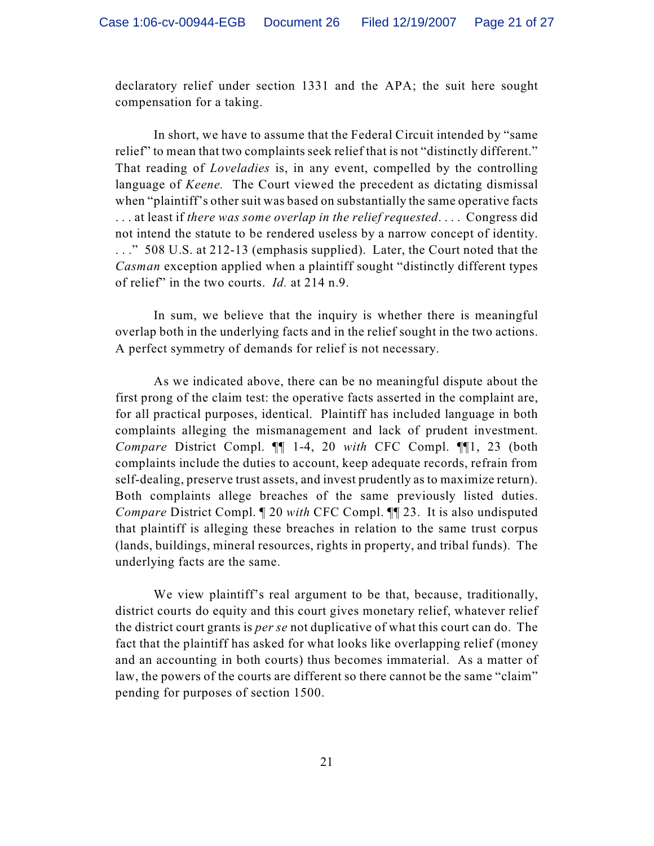declaratory relief under section 1331 and the APA; the suit here sought compensation for a taking.

In short, we have to assume that the Federal Circuit intended by "same relief" to mean that two complaints seek relief that is not "distinctly different." That reading of *Loveladies* is, in any event, compelled by the controlling language of *Keene.* The Court viewed the precedent as dictating dismissal when "plaintiff's other suit was based on substantially the same operative facts . . . at least if *there was some overlap in the relief requested*. . . . Congress did not intend the statute to be rendered useless by a narrow concept of identity. . . ." 508 U.S. at 212-13 (emphasis supplied). Later, the Court noted that the *Casman* exception applied when a plaintiff sought "distinctly different types of relief" in the two courts. *Id.* at 214 n.9.

In sum, we believe that the inquiry is whether there is meaningful overlap both in the underlying facts and in the relief sought in the two actions. A perfect symmetry of demands for relief is not necessary.

As we indicated above, there can be no meaningful dispute about the first prong of the claim test: the operative facts asserted in the complaint are, for all practical purposes, identical. Plaintiff has included language in both complaints alleging the mismanagement and lack of prudent investment. *Compare* District Compl. ¶¶ 1-4, 20 *with* CFC Compl. ¶¶1, 23 (both complaints include the duties to account, keep adequate records, refrain from self-dealing, preserve trust assets, and invest prudently as to maximize return). Both complaints allege breaches of the same previously listed duties. *Compare* District Compl. ¶ 20 *with* CFC Compl. ¶¶ 23. It is also undisputed that plaintiff is alleging these breaches in relation to the same trust corpus (lands, buildings, mineral resources, rights in property, and tribal funds). The underlying facts are the same.

We view plaintiff's real argument to be that, because, traditionally, district courts do equity and this court gives monetary relief, whatever relief the district court grants is *per se* not duplicative of what this court can do. The fact that the plaintiff has asked for what looks like overlapping relief (money and an accounting in both courts) thus becomes immaterial. As a matter of law, the powers of the courts are different so there cannot be the same "claim" pending for purposes of section 1500.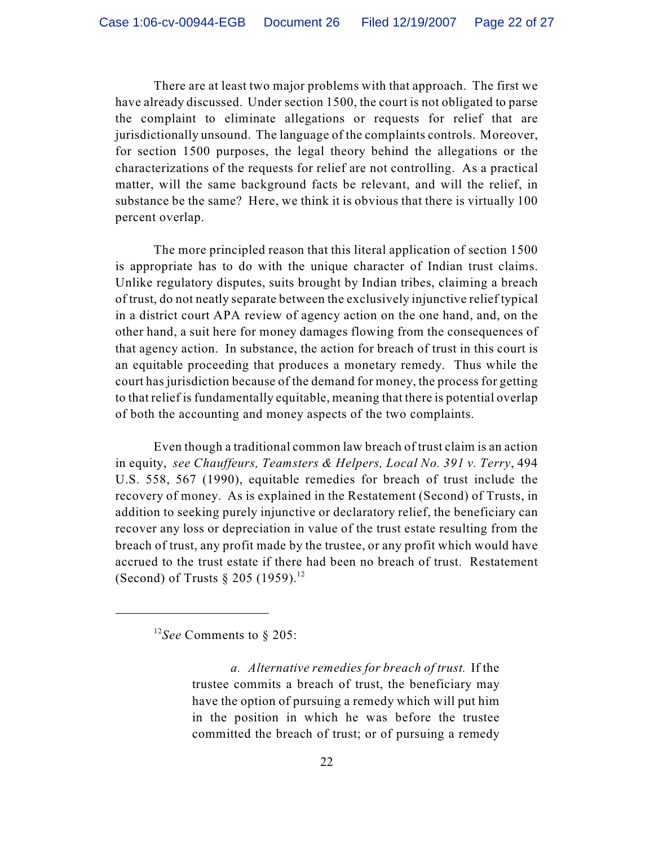There are at least two major problems with that approach. The first we have already discussed. Under section 1500, the court is not obligated to parse the complaint to eliminate allegations or requests for relief that are jurisdictionally unsound. The language of the complaints controls. Moreover, for section 1500 purposes, the legal theory behind the allegations or the characterizations of the requests for relief are not controlling. As a practical matter, will the same background facts be relevant, and will the relief, in substance be the same? Here, we think it is obvious that there is virtually 100 percent overlap.

The more principled reason that this literal application of section 1500 is appropriate has to do with the unique character of Indian trust claims. Unlike regulatory disputes, suits brought by Indian tribes, claiming a breach of trust, do not neatly separate between the exclusively injunctive relief typical in a district court APA review of agency action on the one hand, and, on the other hand, a suit here for money damages flowing from the consequences of that agency action. In substance, the action for breach of trust in this court is an equitable proceeding that produces a monetary remedy. Thus while the court has jurisdiction because of the demand for money, the process for getting to that relief is fundamentally equitable, meaning that there is potential overlap of both the accounting and money aspects of the two complaints.

Even though a traditional common law breach of trust claim is an action in equity, *see Chauffeurs, Teamsters & Helpers, Local No. 391 v. Terry*, 494 U.S. 558, 567 (1990), equitable remedies for breach of trust include the recovery of money. As is explained in the Restatement (Second) of Trusts, in addition to seeking purely injunctive or declaratory relief, the beneficiary can recover any loss or depreciation in value of the trust estate resulting from the breach of trust, any profit made by the trustee, or any profit which would have accrued to the trust estate if there had been no breach of trust. Restatement (Second) of Trusts  $\S 205$  (1959).<sup>12</sup>

<sup>&</sup>lt;sup>12</sup>See Comments to § 205:

*a. Alternative remedies for breach of trust.* If the trustee commits a breach of trust, the beneficiary may have the option of pursuing a remedy which will put him in the position in which he was before the trustee committed the breach of trust; or of pursuing a remedy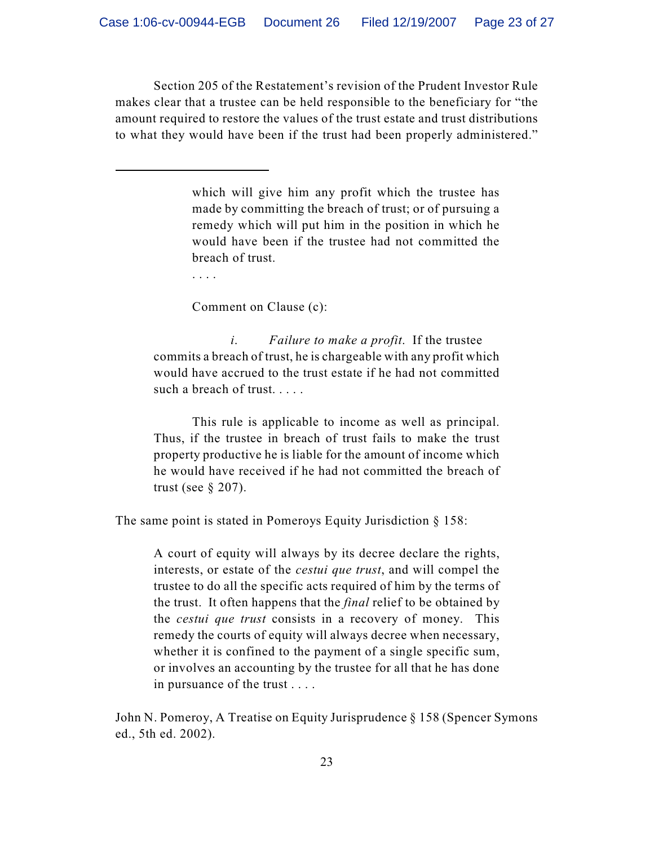Section 205 of the Restatement's revision of the Prudent Investor Rule makes clear that a trustee can be held responsible to the beneficiary for "the amount required to restore the values of the trust estate and trust distributions to what they would have been if the trust had been properly administered."

> which will give him any profit which the trustee has made by committing the breach of trust; or of pursuing a remedy which will put him in the position in which he would have been if the trustee had not committed the breach of trust.

. . . .

Comment on Clause (c):

 *i*. *Failure to make a profit*. If the trustee commits a breach of trust, he is chargeable with any profit which would have accrued to the trust estate if he had not committed such a breach of trust. . . . .

This rule is applicable to income as well as principal. Thus, if the trustee in breach of trust fails to make the trust property productive he is liable for the amount of income which he would have received if he had not committed the breach of trust (see  $\S 207$ ).

The same point is stated in Pomeroys Equity Jurisdiction § 158:

A court of equity will always by its decree declare the rights, interests, or estate of the *cestui que trust*, and will compel the trustee to do all the specific acts required of him by the terms of the trust. It often happens that the *final* relief to be obtained by the *cestui que trust* consists in a recovery of money. This remedy the courts of equity will always decree when necessary, whether it is confined to the payment of a single specific sum, or involves an accounting by the trustee for all that he has done in pursuance of the trust . . . .

John N. Pomeroy, A Treatise on Equity Jurisprudence § 158 (Spencer Symons ed., 5th ed. 2002).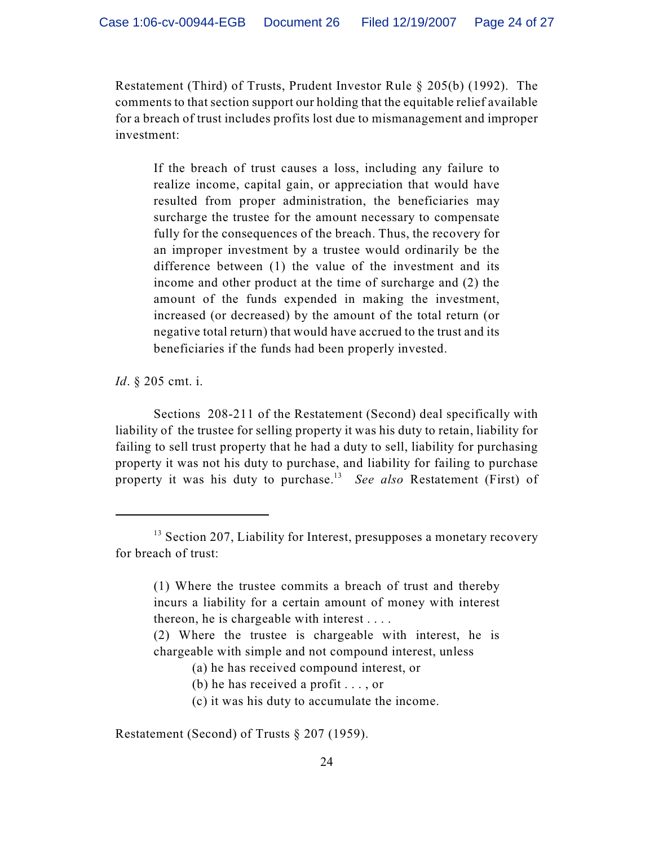Restatement (Third) of Trusts, Prudent Investor Rule § 205(b) (1992). The comments to that section support our holding that the equitable relief available for a breach of trust includes profits lost due to mismanagement and improper investment:

If the breach of trust causes a loss, including any failure to realize income, capital gain, or appreciation that would have resulted from proper administration, the beneficiaries may surcharge the trustee for the amount necessary to compensate fully for the consequences of the breach. Thus, the recovery for an improper investment by a trustee would ordinarily be the difference between (1) the value of the investment and its income and other product at the time of surcharge and (2) the amount of the funds expended in making the investment, increased (or decreased) by the amount of the total return (or negative total return) that would have accrued to the trust and its beneficiaries if the funds had been properly invested.

*Id*. § 205 cmt. i.

Sections 208-211 of the Restatement (Second) deal specifically with liability of the trustee for selling property it was his duty to retain, liability for failing to sell trust property that he had a duty to sell, liability for purchasing property it was not his duty to purchase, and liability for failing to purchase property it was his duty to purchase.<sup>13</sup> See also Restatement (First) of

Restatement (Second) of Trusts § 207 (1959).

<sup>&</sup>lt;sup>13</sup> Section 207, Liability for Interest, presupposes a monetary recovery for breach of trust:

<sup>(1)</sup> Where the trustee commits a breach of trust and thereby incurs a liability for a certain amount of money with interest thereon, he is chargeable with interest . . . .

<sup>(2)</sup> Where the trustee is chargeable with interest, he is chargeable with simple and not compound interest, unless

<sup>(</sup>a) he has received compound interest, or

<sup>(</sup>b) he has received a profit . . . , or

<sup>(</sup>c) it was his duty to accumulate the income.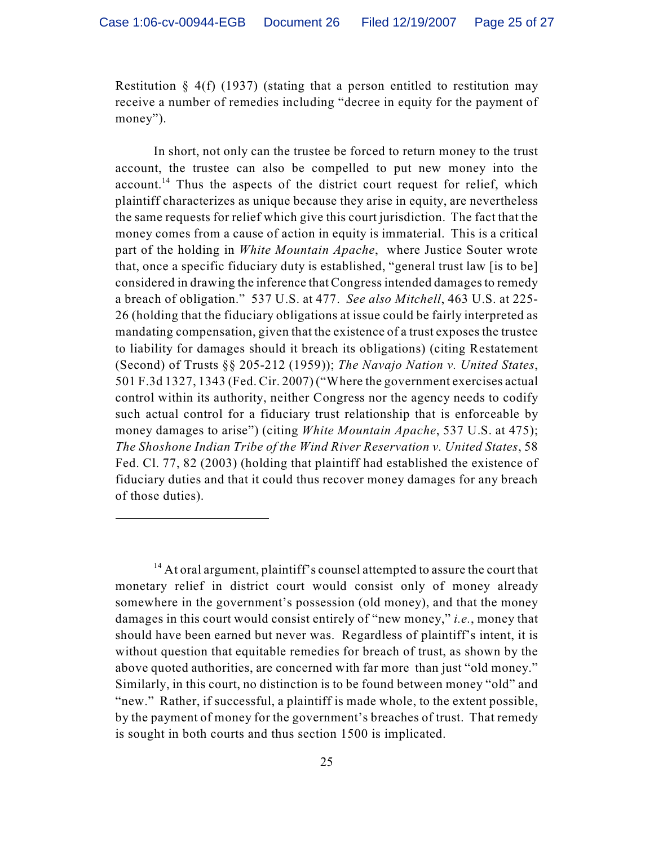Restitution  $\S 4(f)$  (1937) (stating that a person entitled to restitution may receive a number of remedies including "decree in equity for the payment of money").

In short, not only can the trustee be forced to return money to the trust account, the trustee can also be compelled to put new money into the account.<sup>14</sup> Thus the aspects of the district court request for relief, which plaintiff characterizes as unique because they arise in equity, are nevertheless the same requests for relief which give this court jurisdiction. The fact that the money comes from a cause of action in equity is immaterial. This is a critical part of the holding in *White Mountain Apache*, where Justice Souter wrote that, once a specific fiduciary duty is established, "general trust law [is to be] considered in drawing the inference that Congress intended damages to remedy a breach of obligation." 537 U.S. at 477. *See also Mitchell*, 463 U.S. at 225- 26 (holding that the fiduciary obligations at issue could be fairly interpreted as mandating compensation, given that the existence of a trust exposes the trustee to liability for damages should it breach its obligations) (citing Restatement (Second) of Trusts §§ 205-212 (1959)); *The Navajo Nation v. United States*, 501 F.3d 1327, 1343 (Fed. Cir. 2007) ("Where the government exercises actual control within its authority, neither Congress nor the agency needs to codify such actual control for a fiduciary trust relationship that is enforceable by money damages to arise") (citing *White Mountain Apache*, 537 U.S. at 475); *The Shoshone Indian Tribe of the Wind River Reservation v. United States*, 58 Fed. Cl. 77, 82 (2003) (holding that plaintiff had established the existence of fiduciary duties and that it could thus recover money damages for any breach of those duties).

 $14$  At oral argument, plaintiff's counsel attempted to assure the court that monetary relief in district court would consist only of money already somewhere in the government's possession (old money), and that the money damages in this court would consist entirely of "new money," *i.e.*, money that should have been earned but never was. Regardless of plaintiff's intent, it is without question that equitable remedies for breach of trust, as shown by the above quoted authorities, are concerned with far more than just "old money." Similarly, in this court, no distinction is to be found between money "old" and "new." Rather, if successful, a plaintiff is made whole, to the extent possible, by the payment of money for the government's breaches of trust. That remedy is sought in both courts and thus section 1500 is implicated.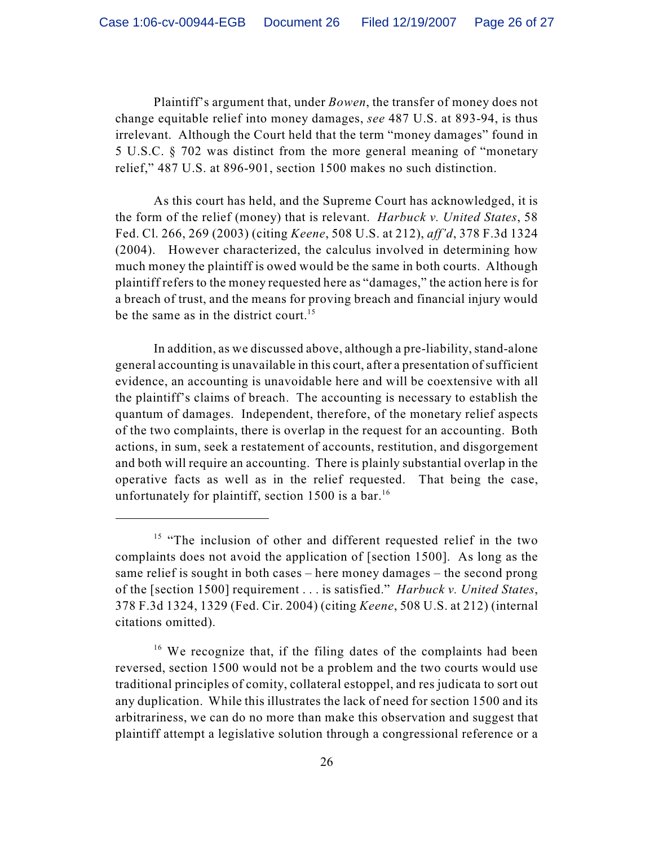Plaintiff's argument that, under *Bowen*, the transfer of money does not change equitable relief into money damages, *see* 487 U.S. at 893-94, is thus irrelevant. Although the Court held that the term "money damages" found in 5 U.S.C. § 702 was distinct from the more general meaning of "monetary relief," 487 U.S. at 896-901, section 1500 makes no such distinction.

As this court has held, and the Supreme Court has acknowledged, it is the form of the relief (money) that is relevant. *Harbuck v. United States*, 58 Fed. Cl. 266, 269 (2003) (citing *Keene*, 508 U.S. at 212), *aff'd*, 378 F.3d 1324 (2004). However characterized, the calculus involved in determining how much money the plaintiff is owed would be the same in both courts. Although plaintiff refers to the money requested here as "damages," the action here is for a breach of trust, and the means for proving breach and financial injury would be the same as in the district court.<sup>15</sup>

In addition, as we discussed above, although a pre-liability, stand-alone general accounting is unavailable in this court, after a presentation of sufficient evidence, an accounting is unavoidable here and will be coextensive with all the plaintiff's claims of breach. The accounting is necessary to establish the quantum of damages. Independent, therefore, of the monetary relief aspects of the two complaints, there is overlap in the request for an accounting. Both actions, in sum, seek a restatement of accounts, restitution, and disgorgement and both will require an accounting. There is plainly substantial overlap in the operative facts as well as in the relief requested. That being the case, unfortunately for plaintiff, section 1500 is a bar.<sup>16</sup>

 $15$  "The inclusion of other and different requested relief in the two complaints does not avoid the application of [section 1500]. As long as the same relief is sought in both cases – here money damages – the second prong of the [section 1500] requirement . . . is satisfied." *Harbuck v. United States*, 378 F.3d 1324, 1329 (Fed. Cir. 2004) (citing *Keene*, 508 U.S. at 212) (internal citations omitted).

<sup>&</sup>lt;sup>16</sup> We recognize that, if the filing dates of the complaints had been reversed, section 1500 would not be a problem and the two courts would use traditional principles of comity, collateral estoppel, and res judicata to sort out any duplication. While this illustrates the lack of need for section 1500 and its arbitrariness, we can do no more than make this observation and suggest that plaintiff attempt a legislative solution through a congressional reference or a